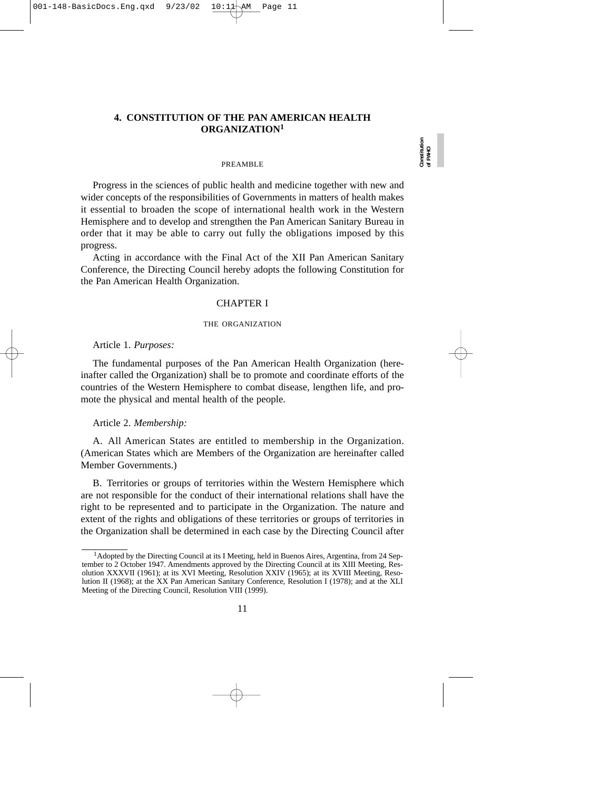## **4. CONSTITUTION OF THE PAN AMERICAN HEALTH ORGANIZATION1**

#### PREAMBLE

Progress in the sciences of public health and medicine together with new and wider concepts of the responsibilities of Governments in matters of health makes it essential to broaden the scope of international health work in the Western Hemisphere and to develop and strengthen the Pan American Sanitary Bureau in order that it may be able to carry out fully the obligations imposed by this progress.

Acting in accordance with the Final Act of the XII Pan American Sanitary Conference, the Directing Council hereby adopts the following Constitution for the Pan American Health Organization.

### CHAPTER I

#### THE ORGANIZATION

Article 1. *Purposes:*

The fundamental purposes of the Pan American Health Organization (hereinafter called the Organization) shall be to promote and coordinate efforts of the countries of the Western Hemisphere to combat disease, lengthen life, and promote the physical and mental health of the people.

Article 2. *Membership:*

A. All American States are entitled to membership in the Organization. (American States which are Members of the Organization are hereinafter called Member Governments.)

B. Territories or groups of territories within the Western Hemisphere which are not responsible for the conduct of their international relations shall have the right to be represented and to participate in the Organization. The nature and extent of the rights and obligations of these territories or groups of territories in the Organization shall be determined in each case by the Directing Council after

<sup>&</sup>lt;sup>1</sup> Adopted by the Directing Council at its I Meeting, held in Buenos Aires, Argentina, from 24 September to 2 October 1947. Amendments approved by the Directing Council at its XIII Meeting, Resolution XXXVII (1961); at its XVI Meeting, Resolution XXIV (1965); at its XVIII Meeting, Resolution II (1968); at the XX Pan American Sanitary Conference, Resolution I (1978); and at the XLI Meeting of the Directing Council, Resolution VIII (1999).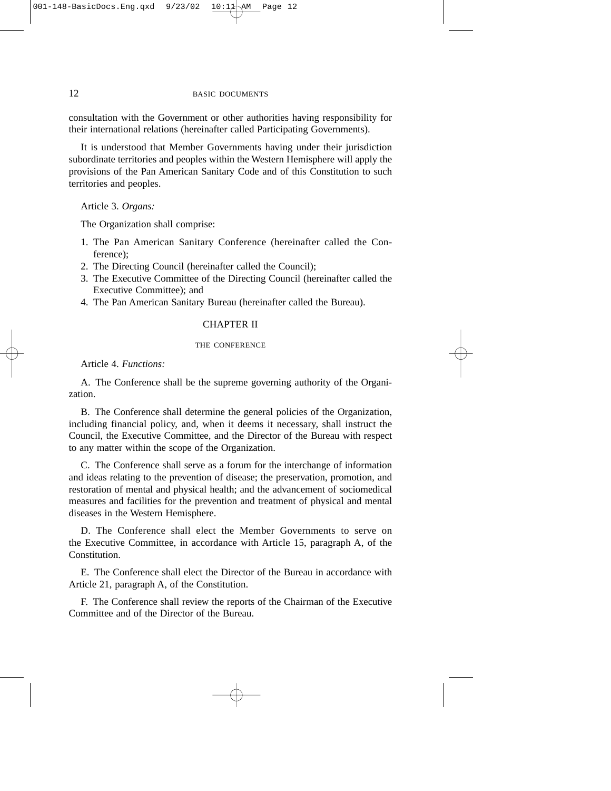consultation with the Government or other authorities having responsibility for their international relations (hereinafter called Participating Governments).

It is understood that Member Governments having under their jurisdiction subordinate territories and peoples within the Western Hemisphere will apply the provisions of the Pan American Sanitary Code and of this Constitution to such territories and peoples.

Article 3. *Organs:*

The Organization shall comprise:

- 1. The Pan American Sanitary Conference (hereinafter called the Conference);
- 2. The Directing Council (hereinafter called the Council);
- 3. The Executive Committee of the Directing Council (hereinafter called the Executive Committee); and
- 4. The Pan American Sanitary Bureau (hereinafter called the Bureau).

## CHAPTER II

## THE CONFERENCE

Article 4. *Functions:*

A. The Conference shall be the supreme governing authority of the Organization.

B. The Conference shall determine the general policies of the Organization, including financial policy, and, when it deems it necessary, shall instruct the Council, the Executive Committee, and the Director of the Bureau with respect to any matter within the scope of the Organization.

C. The Conference shall serve as a forum for the interchange of information and ideas relating to the prevention of disease; the preservation, promotion, and restoration of mental and physical health; and the advancement of sociomedical measures and facilities for the prevention and treatment of physical and mental diseases in the Western Hemisphere.

D. The Conference shall elect the Member Governments to serve on the Executive Committee, in accordance with Article 15, paragraph A, of the Constitution.

E. The Conference shall elect the Director of the Bureau in accordance with Article 21, paragraph A, of the Constitution.

F. The Conference shall review the reports of the Chairman of the Executive Committee and of the Director of the Bureau.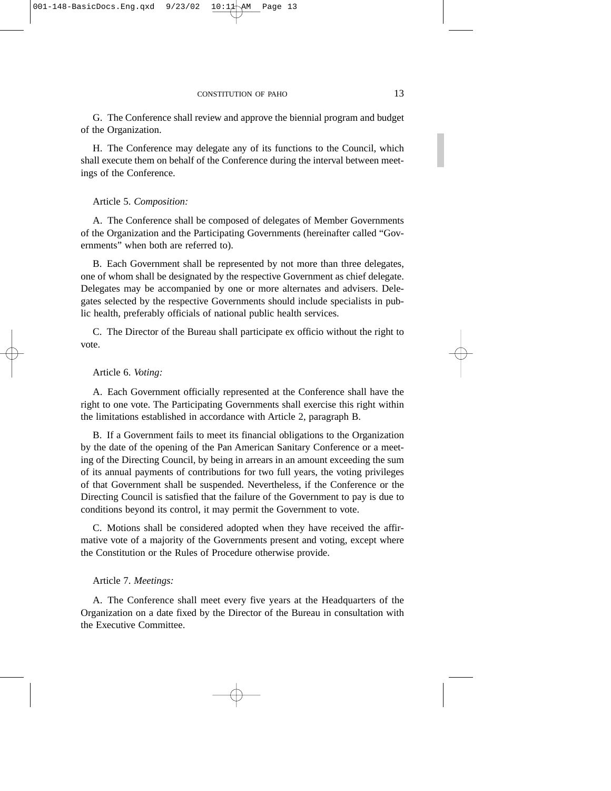G. The Conference shall review and approve the biennial program and budget of the Organization.

H. The Conference may delegate any of its functions to the Council, which shall execute them on behalf of the Conference during the interval between meetings of the Conference.

### Article 5. *Composition:*

A. The Conference shall be composed of delegates of Member Governments of the Organization and the Participating Governments (hereinafter called "Governments" when both are referred to).

B. Each Government shall be represented by not more than three delegates, one of whom shall be designated by the respective Government as chief delegate. Delegates may be accompanied by one or more alternates and advisers. Delegates selected by the respective Governments should include specialists in public health, preferably officials of national public health services.

C. The Director of the Bureau shall participate ex officio without the right to vote.

### Article 6. *Voting:*

A. Each Government officially represented at the Conference shall have the right to one vote. The Participating Governments shall exercise this right within the limitations established in accordance with Article 2, paragraph B.

B. If a Government fails to meet its financial obligations to the Organization by the date of the opening of the Pan American Sanitary Conference or a meeting of the Directing Council, by being in arrears in an amount exceeding the sum of its annual payments of contributions for two full years, the voting privileges of that Government shall be suspended. Nevertheless, if the Conference or the Directing Council is satisfied that the failure of the Government to pay is due to conditions beyond its control, it may permit the Government to vote.

C. Motions shall be considered adopted when they have received the affirmative vote of a majority of the Governments present and voting, except where the Constitution or the Rules of Procedure otherwise provide.

### Article 7. *Meetings:*

A. The Conference shall meet every five years at the Headquarters of the Organization on a date fixed by the Director of the Bureau in consultation with the Executive Committee.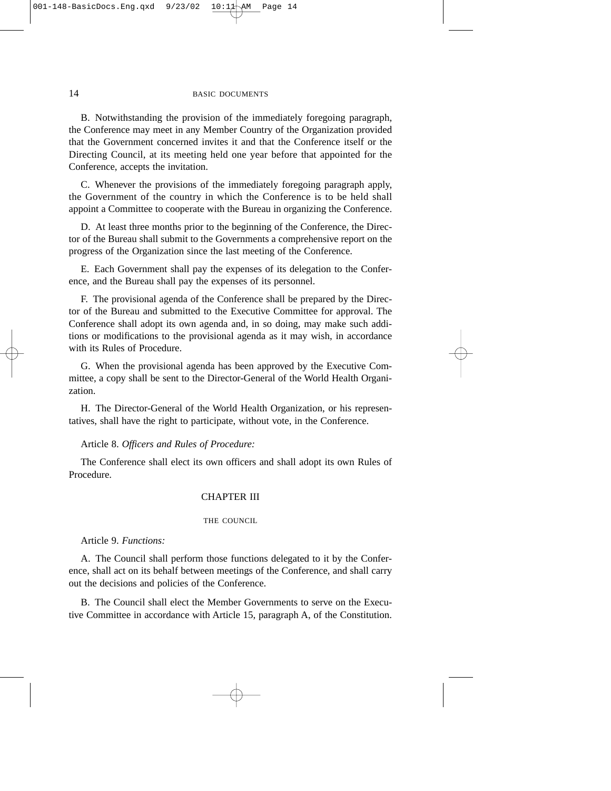#### 14 BASIC DOCUMENTS

B. Notwithstanding the provision of the immediately foregoing paragraph, the Conference may meet in any Member Country of the Organization provided that the Government concerned invites it and that the Conference itself or the Directing Council, at its meeting held one year before that appointed for the Conference, accepts the invitation.

C. Whenever the provisions of the immediately foregoing paragraph apply, the Government of the country in which the Conference is to be held shall appoint a Committee to cooperate with the Bureau in organizing the Conference.

D. At least three months prior to the beginning of the Conference, the Director of the Bureau shall submit to the Governments a comprehensive report on the progress of the Organization since the last meeting of the Conference.

E. Each Government shall pay the expenses of its delegation to the Conference, and the Bureau shall pay the expenses of its personnel.

F. The provisional agenda of the Conference shall be prepared by the Director of the Bureau and submitted to the Executive Committee for approval. The Conference shall adopt its own agenda and, in so doing, may make such additions or modifications to the provisional agenda as it may wish, in accordance with its Rules of Procedure.

G. When the provisional agenda has been approved by the Executive Committee, a copy shall be sent to the Director-General of the World Health Organization.

H. The Director-General of the World Health Organization, or his representatives, shall have the right to participate, without vote, in the Conference.

Article 8. *Officers and Rules of Procedure:*

The Conference shall elect its own officers and shall adopt its own Rules of Procedure.

### CHAPTER III

### THE COUNCIL

Article 9. *Functions:*

A. The Council shall perform those functions delegated to it by the Conference, shall act on its behalf between meetings of the Conference, and shall carry out the decisions and policies of the Conference.

B. The Council shall elect the Member Governments to serve on the Executive Committee in accordance with Article 15, paragraph A, of the Constitution.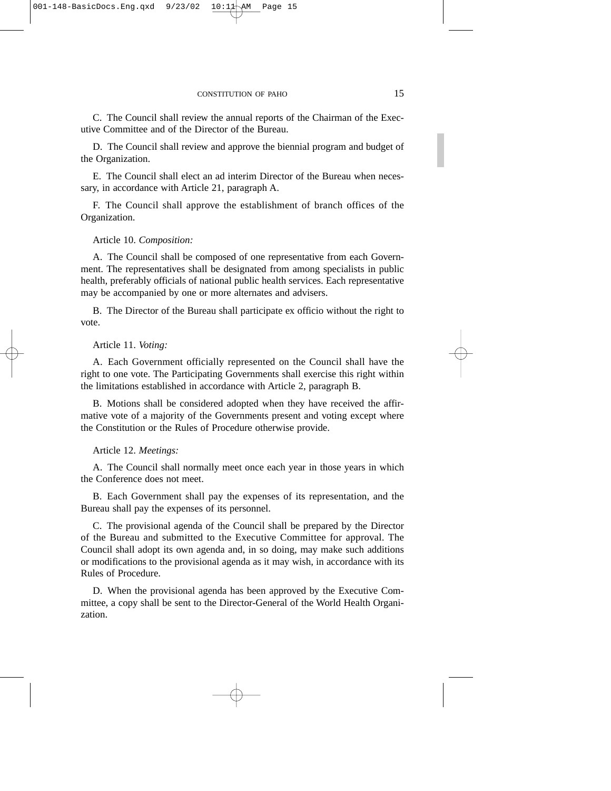C. The Council shall review the annual reports of the Chairman of the Executive Committee and of the Director of the Bureau.

D. The Council shall review and approve the biennial program and budget of the Organization.

E. The Council shall elect an ad interim Director of the Bureau when necessary, in accordance with Article 21, paragraph A.

F. The Council shall approve the establishment of branch offices of the Organization.

### Article 10. *Composition:*

A. The Council shall be composed of one representative from each Government. The representatives shall be designated from among specialists in public health, preferably officials of national public health services. Each representative may be accompanied by one or more alternates and advisers.

B. The Director of the Bureau shall participate ex officio without the right to vote.

Article 11. *Voting:*

A. Each Government officially represented on the Council shall have the right to one vote. The Participating Governments shall exercise this right within the limitations established in accordance with Article 2, paragraph B.

B. Motions shall be considered adopted when they have received the affirmative vote of a majority of the Governments present and voting except where the Constitution or the Rules of Procedure otherwise provide.

Article 12. *Meetings:*

A. The Council shall normally meet once each year in those years in which the Conference does not meet.

B. Each Government shall pay the expenses of its representation, and the Bureau shall pay the expenses of its personnel.

C. The provisional agenda of the Council shall be prepared by the Director of the Bureau and submitted to the Executive Committee for approval. The Council shall adopt its own agenda and, in so doing, may make such additions or modifications to the provisional agenda as it may wish, in accordance with its Rules of Procedure.

D. When the provisional agenda has been approved by the Executive Committee, a copy shall be sent to the Director-General of the World Health Organization.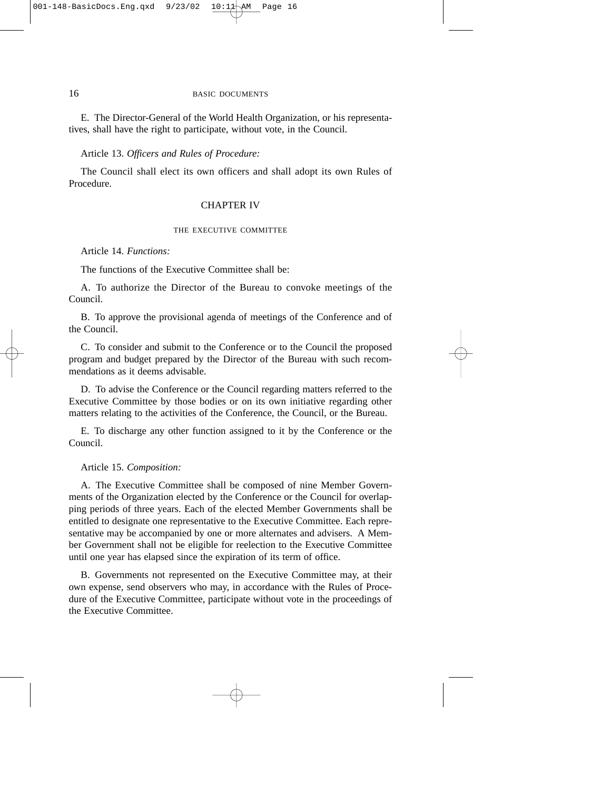### 16 BASIC DOCUMENTS

E. The Director-General of the World Health Organization, or his representatives, shall have the right to participate, without vote, in the Council.

### Article 13. *Officers and Rules of Procedure:*

The Council shall elect its own officers and shall adopt its own Rules of Procedure.

### CHAPTER IV

### THE EXECUTIVE COMMITTEE

Article 14. *Functions:*

The functions of the Executive Committee shall be:

A. To authorize the Director of the Bureau to convoke meetings of the Council.

B. To approve the provisional agenda of meetings of the Conference and of the Council.

C. To consider and submit to the Conference or to the Council the proposed program and budget prepared by the Director of the Bureau with such recommendations as it deems advisable.

D. To advise the Conference or the Council regarding matters referred to the Executive Committee by those bodies or on its own initiative regarding other matters relating to the activities of the Conference, the Council, or the Bureau.

E. To discharge any other function assigned to it by the Conference or the Council.

Article 15. *Composition:*

A. The Executive Committee shall be composed of nine Member Governments of the Organization elected by the Conference or the Council for overlapping periods of three years. Each of the elected Member Governments shall be entitled to designate one representative to the Executive Committee. Each representative may be accompanied by one or more alternates and advisers. A Member Government shall not be eligible for reelection to the Executive Committee until one year has elapsed since the expiration of its term of office.

B. Governments not represented on the Executive Committee may, at their own expense, send observers who may, in accordance with the Rules of Procedure of the Executive Committee, participate without vote in the proceedings of the Executive Committee.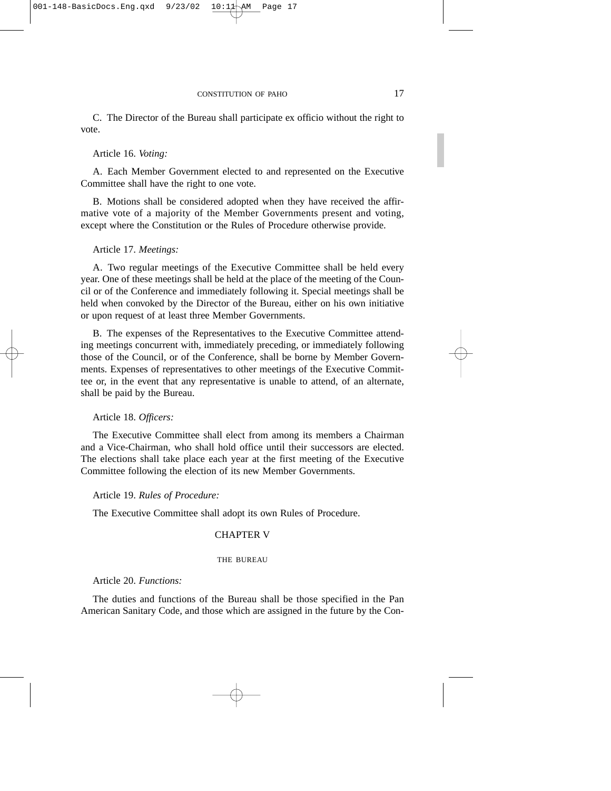C. The Director of the Bureau shall participate ex officio without the right to vote.

### Article 16. *Voting:*

A. Each Member Government elected to and represented on the Executive Committee shall have the right to one vote.

B. Motions shall be considered adopted when they have received the affirmative vote of a majority of the Member Governments present and voting, except where the Constitution or the Rules of Procedure otherwise provide.

Article 17. *Meetings:*

A. Two regular meetings of the Executive Committee shall be held every year. One of these meetings shall be held at the place of the meeting of the Council or of the Conference and immediately following it. Special meetings shall be held when convoked by the Director of the Bureau, either on his own initiative or upon request of at least three Member Governments.

B. The expenses of the Representatives to the Executive Committee attending meetings concurrent with, immediately preceding, or immediately following those of the Council, or of the Conference, shall be borne by Member Governments. Expenses of representatives to other meetings of the Executive Committee or, in the event that any representative is unable to attend, of an alternate, shall be paid by the Bureau.

Article 18. *Officers:*

The Executive Committee shall elect from among its members a Chairman and a Vice-Chairman, who shall hold office until their successors are elected. The elections shall take place each year at the first meeting of the Executive Committee following the election of its new Member Governments.

Article 19. *Rules of Procedure:*

The Executive Committee shall adopt its own Rules of Procedure.

## CHAPTER V

#### THE BUREAU

Article 20. *Functions:*

The duties and functions of the Bureau shall be those specified in the Pan American Sanitary Code, and those which are assigned in the future by the Con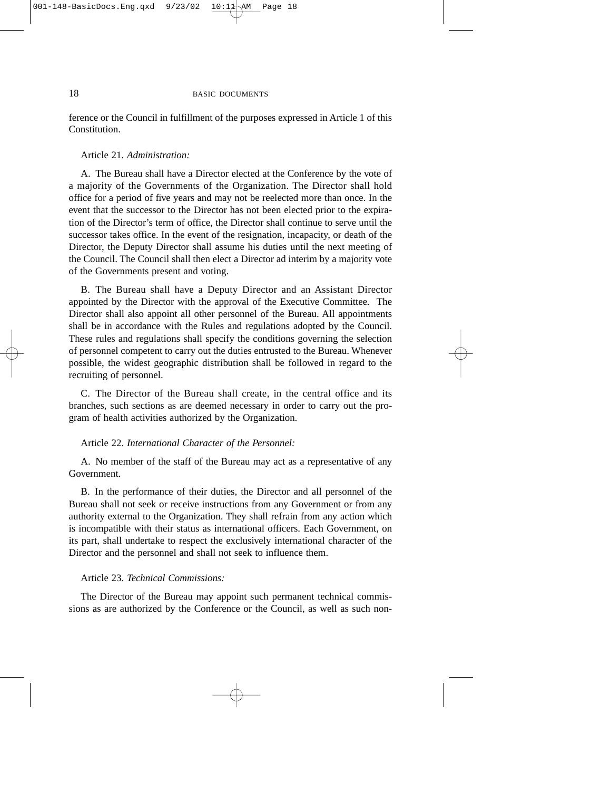ference or the Council in fulfillment of the purposes expressed in Article 1 of this **Constitution** 

## Article 21. *Administration:*

A. The Bureau shall have a Director elected at the Conference by the vote of a majority of the Governments of the Organization. The Director shall hold office for a period of five years and may not be reelected more than once. In the event that the successor to the Director has not been elected prior to the expiration of the Director's term of office, the Director shall continue to serve until the successor takes office. In the event of the resignation, incapacity, or death of the Director, the Deputy Director shall assume his duties until the next meeting of the Council. The Council shall then elect a Director ad interim by a majority vote of the Governments present and voting.

B. The Bureau shall have a Deputy Director and an Assistant Director appointed by the Director with the approval of the Executive Committee. The Director shall also appoint all other personnel of the Bureau. All appointments shall be in accordance with the Rules and regulations adopted by the Council. These rules and regulations shall specify the conditions governing the selection of personnel competent to carry out the duties entrusted to the Bureau. Whenever possible, the widest geographic distribution shall be followed in regard to the recruiting of personnel.

C. The Director of the Bureau shall create, in the central office and its branches, such sections as are deemed necessary in order to carry out the program of health activities authorized by the Organization.

### Article 22. *International Character of the Personnel:*

A. No member of the staff of the Bureau may act as a representative of any Government.

B. In the performance of their duties, the Director and all personnel of the Bureau shall not seek or receive instructions from any Government or from any authority external to the Organization. They shall refrain from any action which is incompatible with their status as international officers. Each Government, on its part, shall undertake to respect the exclusively international character of the Director and the personnel and shall not seek to influence them.

### Article 23. *Technical Commissions:*

The Director of the Bureau may appoint such permanent technical commissions as are authorized by the Conference or the Council, as well as such non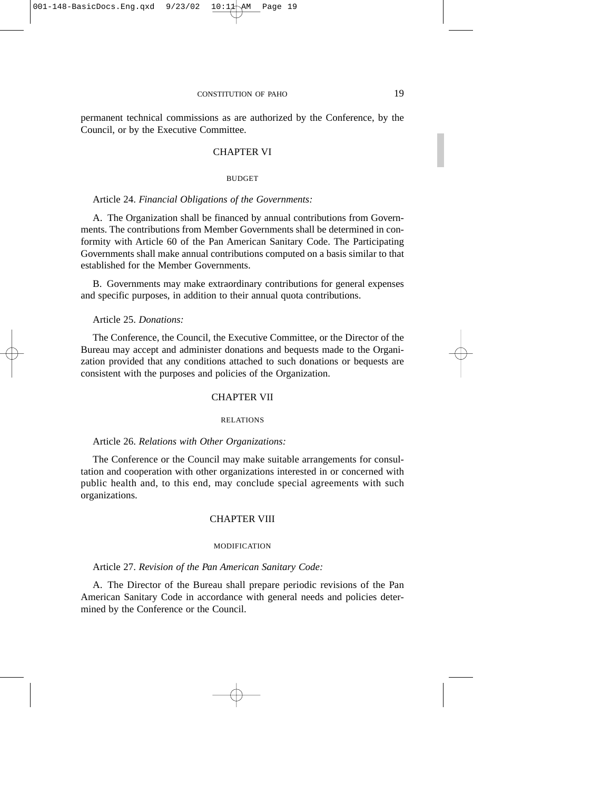permanent technical commissions as are authorized by the Conference, by the Council, or by the Executive Committee.

### CHAPTER VI

#### **BUDGET**

### Article 24. *Financial Obligations of the Governments:*

A. The Organization shall be financed by annual contributions from Governments. The contributions from Member Governments shall be determined in conformity with Article 60 of the Pan American Sanitary Code. The Participating Governments shall make annual contributions computed on a basis similar to that established for the Member Governments.

B. Governments may make extraordinary contributions for general expenses and specific purposes, in addition to their annual quota contributions.

Article 25. *Donations:*

The Conference, the Council, the Executive Committee, or the Director of the Bureau may accept and administer donations and bequests made to the Organization provided that any conditions attached to such donations or bequests are consistent with the purposes and policies of the Organization.

#### CHAPTER VII

#### RELATIONS

### Article 26. *Relations with Other Organizations:*

The Conference or the Council may make suitable arrangements for consultation and cooperation with other organizations interested in or concerned with public health and, to this end, may conclude special agreements with such organizations.

## CHAPTER VIII

#### MODIFICATION

Article 27. *Revision of the Pan American Sanitary Code:*

A. The Director of the Bureau shall prepare periodic revisions of the Pan American Sanitary Code in accordance with general needs and policies determined by the Conference or the Council.